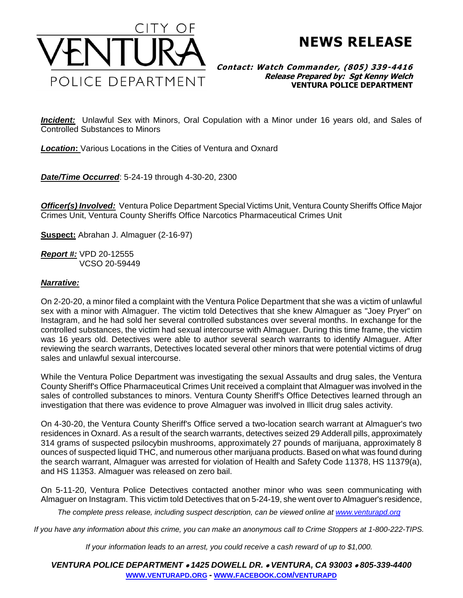

**NEWS RELEASE**

## **Contact: Watch Commander, (805) 339-4416 Release Prepared by: Sgt Kenny Welch VENTURA POLICE DEPARTMENT**

*Incident:* Unlawful Sex with Minors, Oral Copulation with a Minor under 16 years old, and Sales of Controlled Substances to Minors

*Location***:** Various Locations in the Cities of Ventura and Oxnard

*Date/Time Occurred*: 5-24-19 through 4-30-20, 2300

*Officer(s) Involved:* Ventura Police Department Special Victims Unit, Ventura County Sheriffs Office Major Crimes Unit, Ventura County Sheriffs Office Narcotics Pharmaceutical Crimes Unit

**Suspect:** Abrahan J. Almaguer (2-16-97)

*Report #:* VPD 20-12555 VCSO 20-59449

## *Narrative:*

On 2-20-20, a minor filed a complaint with the Ventura Police Department that she was a victim of unlawful sex with a minor with Almaguer. The victim told Detectives that she knew Almaguer as "Joey Pryer" on Instagram, and he had sold her several controlled substances over several months. In exchange for the controlled substances, the victim had sexual intercourse with Almaguer. During this time frame, the victim was 16 years old. Detectives were able to author several search warrants to identify Almaguer. After reviewing the search warrants, Detectives located several other minors that were potential victims of drug sales and unlawful sexual intercourse.

While the Ventura Police Department was investigating the sexual Assaults and drug sales, the Ventura County Sheriff's Office Pharmaceutical Crimes Unit received a complaint that Almaguer was involved in the sales of controlled substances to minors. Ventura County Sheriff's Office Detectives learned through an investigation that there was evidence to prove Almaguer was involved in Illicit drug sales activity.

On 4-30-20, the Ventura County Sheriff's Office served a two-location search warrant at Almaguer's two residences in Oxnard. As a result of the search warrants, detectives seized 29 Adderall pills, approximately 314 grams of suspected psilocybin mushrooms, approximately 27 pounds of marijuana, approximately 8 ounces of suspected liquid THC, and numerous other marijuana products. Based on what was found during the search warrant, Almaguer was arrested for violation of Health and Safety Code 11378, HS 11379(a), and HS 11353. Almaguer was released on zero bail.

On 5-11-20, Ventura Police Detectives contacted another minor who was seen communicating with Almaguer on Instagram. This victim told Detectives that on 5-24-19, she went over to Almaguer's residence,

*The complete press release, including suspect description, can be viewed online at [www.venturapd.org](http://www.venturapd.org/)*

*If you have any information about this crime, you can make an anonymous call to Crime Stoppers at 1-800-222-TIPS.*

*If your information leads to an arrest, you could receive a cash reward of up to \$1,000.*

*VENTURA POLICE DEPARTMENT* • *1425 DOWELL DR.* • *VENTURA, CA 93003* • *805-339-4400* **WWW.[VENTURAPD](http://www.venturapd.org/).ORG** *-* **WWW.FACEBOOK.COM/[VENTURAPD](http://www.facebook.com/venturapd)**